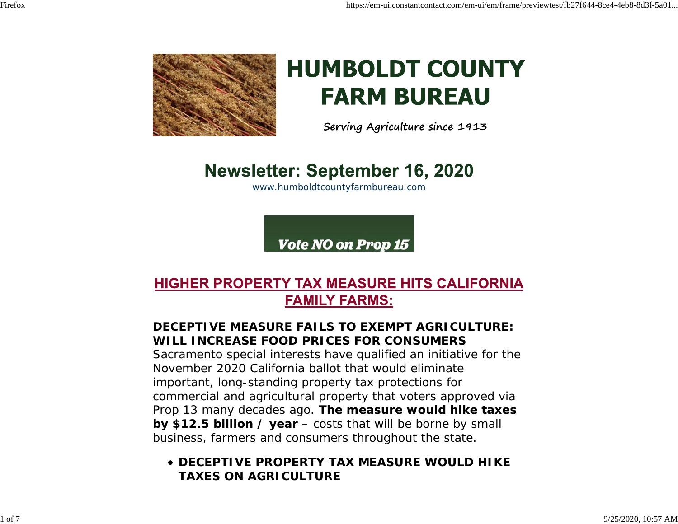

# **HUMBOLDT COUNTY FARM BUREAU**

**Serving Agriculture since 1913**

## **Newsletter: September 16, 2020**

www.humboldtcountyfarmbureau.com

Vote NO on Prop 15

## **HIGHER PROPERTY TAX MEASURE HITS CALIFORNIA FAMILY FARMS:**

## **DECEPTIVE MEASURE FAILS TO EXEMPT AGRICULTURE:WILL INCREASE FOOD PRICES FOR CONSUMERS**

Sacramento special interests have qualified an initiative for the November 2020 California ballot that would eliminateimportant, long-standing property tax protections for commercial and agricultural property that voters approved via Prop 13 many decades ago. **The measure would hike taxes by \$12.5 billion / year** – costs that will be borne by small business, farmers and consumers throughout the state.

## **DECEPTIVE PROPERTY TAX MEASURE WOULD HIKETAXES ON AGRICULTURE**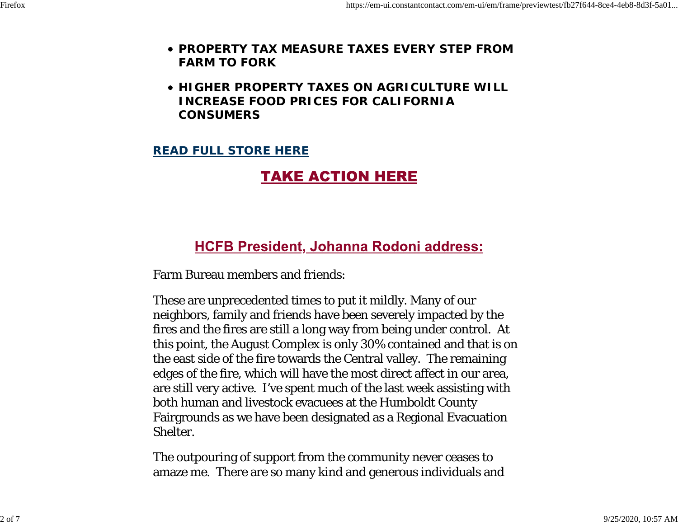- **PROPERTY TAX MEASURE TAXES EVERY STEP FROMFARM TO FORK**
- **HIGHER PROPERTY TAXES ON AGRICULTURE WILLINCREASE FOOD PRICES FOR CALIFORNIACONSUMERS**

#### **READ FULL STORE HERE**

## **TAKE ACTION HERE**

## **HCFB President, Johanna Rodoni address:**

Farm Bureau members and friends:

These are unprecedented times to put it mildly. Many of our neighbors, family and friends have been severely impacted by the fires and the fires are still a long way from being under control. At this point, the August Complex is only 30% contained and that is on the east side of the fire towards the Central valley. The remaining edges of the fire, which will have the most direct affect in our area, are still very active. I've spent much of the last week assisting with both human and livestock evacuees at the Humboldt County Fairgrounds as we have been designated as a Regional Evacuation Shelter.

The outpouring of support from the community never ceases to amaze me. There are so many kind and generous individuals and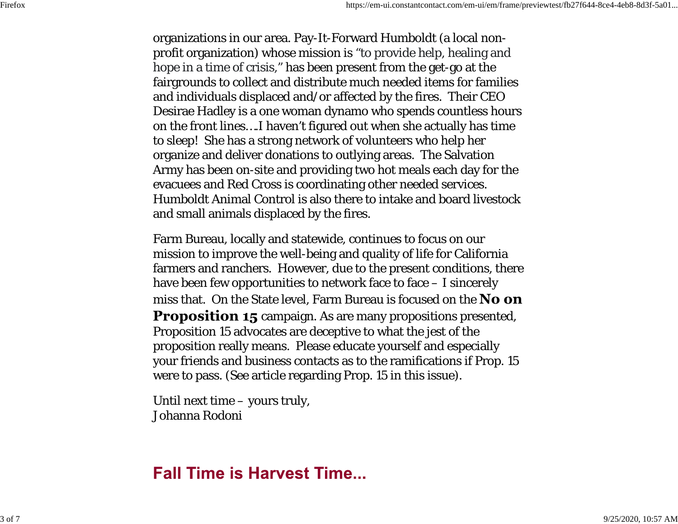organizations in our area. Pay-It-Forward Humboldt (a local nonprofit organization) whose mission is "to provide help, healing and hope in a time of crisis," has been present from the get-go at the fairgrounds to collect and distribute much needed items for families and individuals displaced and/or affected by the fires. Their CEO Desirae Hadley is a one woman dynamo who spends countless hours on the front lines….I haven't figured out when she actually has time to sleep! She has a strong network of volunteers who help her organize and deliver donations to outlying areas. The Salvation Army has been on-site and providing two hot meals each day for the evacuees and Red Cross is coordinating other needed services. Humboldt Animal Control is also there to intake and board livestockand small animals displaced by the fires.

Farm Bureau, locally and statewide, continues to focus on our mission to improve the well-being and quality of life for California farmers and ranchers. However, due to the present conditions, there have been few opportunities to network face to face  $-$  I sincerely miss that. On the State level. Farm Bureau is focused on the No on Proposition 15 campaign. As are many propositions presented, Proposition 15 advocates are deceptive to what the jest of the proposition really means. Please educate yourself and especially your friends and business contacts as to the ramifications if Prop. 15 were to pass. (See article regarding Prop. 15 in this issue).

Until next time – yours truly, Johanna Rodoni

## **Fall Time is Harvest Time...**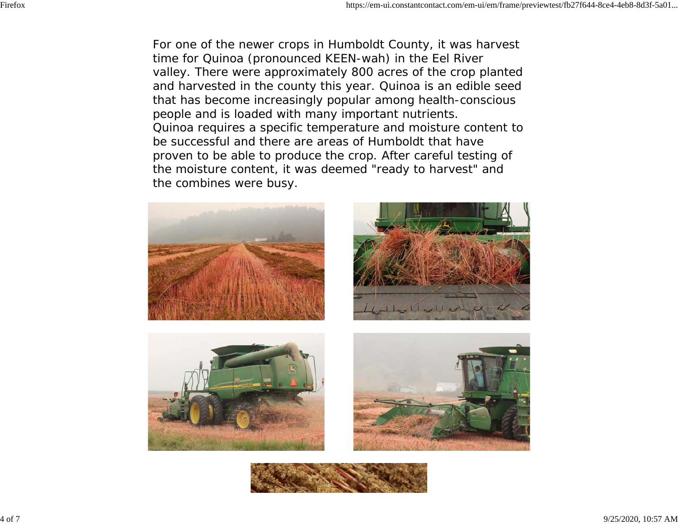For one of the newer crops in Humboldt County, it was harvest time for Quinoa (pronounced KEEN-wah) in the Eel River valley. There were approximately 800 acres of the crop planted and harvested in the county this year. Quinoa is an edible seed that has become increasingly popular among health-conscious people and is loaded with many important nutrients. Quinoa requires a specific temperature and moisture content to be successful and there are areas of Humboldt that haveproven to be able to produce the crop. After careful testing of the moisture content, it was deemed "ready to harvest" and the combines were busy.



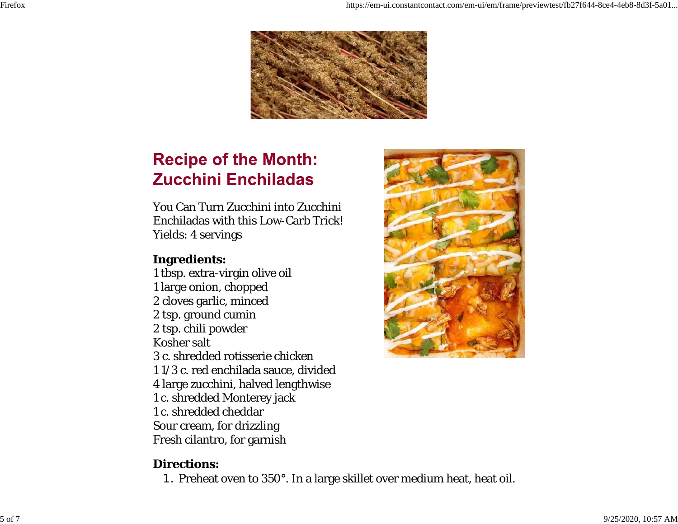

## **Recipe of the Month: Zucchini Enchiladas**

You Can Turn Zucchini into ZucchiniEnchiladas with this Low-Carb Trick! Yields: 4 servings

## **Ingredients:**

1 tbsp. extra-virgin olive oil 1 large onion, chopped 2 cloves garlic, minced 2 tsp. ground cumin 2 tsp. chili powder Kosher salt3 c. shredded rotisserie chicken1 1/3 c. red enchilada sauce, divided 4 large zucchini, halved lengthwise 1 c. shredded Monterey jack 1 c. shredded cheddarSour cream, for drizzling Fresh cilantro, for garnish



#### **Directions:**

1. Preheat oven to 350°. In a large skillet over medium heat, heat oil.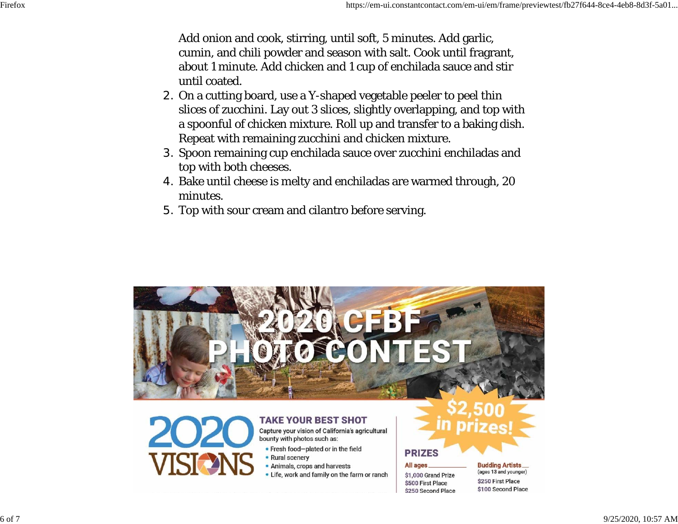Add onion and cook, stirring, until soft, 5 minutes. Add garlic, cumin, and chili powder and season with salt. Cook until fragrant, about 1 minute. Add chicken and 1 cup of enchilada sauce and stir until coated.

- 2. On a cutting board, use a Y-shaped vegetable peeler to peel thin slices of zucchini. Lay out 3 slices, slightly overlapping, and top with a spoonful of chicken mixture. Roll up and transfer to a baking dish. Repeat with remaining zucchini and chicken mixture.
- 3. Spoon remaining cup enchilada sauce over zucchini enchiladas and top with both cheeses.
- 4. Bake until cheese is melty and enchiladas are warmed through, 20 minutes.
- 5. Top with sour cream and cilantro before serving.



#### **TAKE YOUR BEST SHOT**

Capture your vision of California's agricultural bounty with photos such as:

- Fresh food-plated or in the field • Rural scenery
- . Animals, crops and harvests
- . Life, work and family on the farm or ranch

## **PRIZES**

#### **All ages**

\$1,000 Grand Prize \$500 First Place \$250 Second Place **Budding Artists** (ages 13 and younger) \$250 First Place